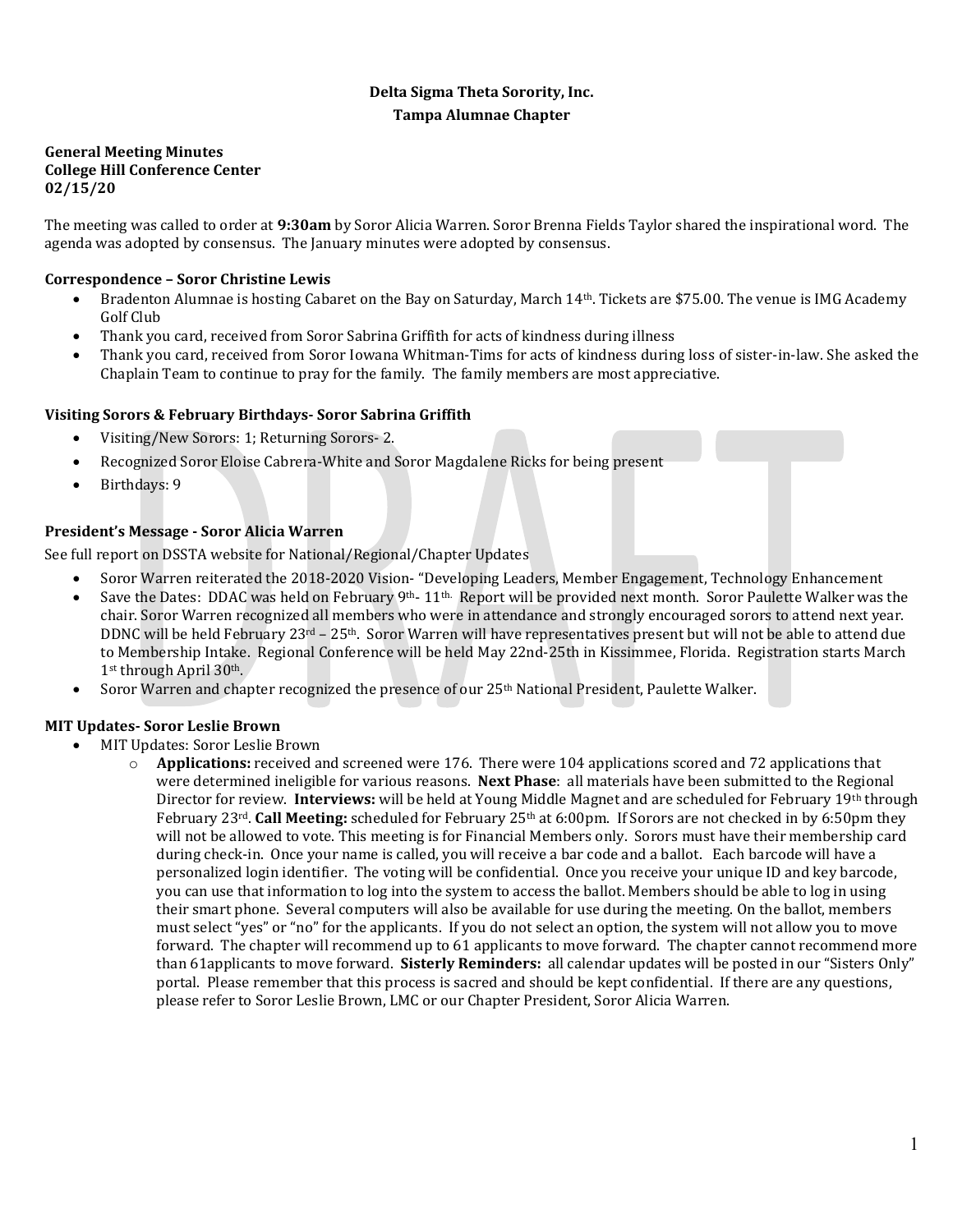# **Delta Sigma Theta Sorority, Inc. Tampa Alumnae Chapter**

#### **General Meeting Minutes College Hill Conference Center 02/15/20**

The meeting was called to order at **9:30am** by Soror Alicia Warren. Soror Brenna Fields Taylor shared the inspirational word. The agenda was adopted by consensus. The January minutes were adopted by consensus.

# **Correspondence – Soror Christine Lewis**

- Bradenton Alumnae is hosting Cabaret on the Bay on Saturday, March 14<sup>th</sup>. Tickets are \$75.00. The venue is IMG Academy Golf Club
- Thank you card, received from Soror Sabrina Griffith for acts of kindness during illness
- Thank you card, received from Soror Iowana Whitman-Tims for acts of kindness during loss of sister-in-law. She asked the Chaplain Team to continue to pray for the family. The family members are most appreciative.

# **Visiting Sorors & February Birthdays- Soror Sabrina Griffith**

- Visiting/New Sorors: 1; Returning Sorors- 2.
- Recognized Soror Eloise Cabrera-White and Soror Magdalene Ricks for being present
- Birthdays: 9

# **President's Message - Soror Alicia Warren**

See full report on DSSTA website for National/Regional/Chapter Updates

- Soror Warren reiterated the 2018-2020 Vision- "Developing Leaders, Member Engagement, Technology Enhancement
- Save the Dates: DDAC was held on February 9<sup>th</sup>- 11<sup>th.</sup> Report will be provided next month. Soror Paulette Walker was the chair. Soror Warren recognized all members who were in attendance and strongly encouraged sorors to attend next year. DDNC will be held February  $23rd - 25th$ . Soror Warren will have representatives present but will not be able to attend due to Membership Intake. Regional Conference will be held May 22nd-25th in Kissimmee, Florida. Registration starts March 1st through April 30<sup>th</sup>.
- Soror Warren and chapter recognized the presence of our 25th National President, Paulette Walker.

# **MIT Updates- Soror Leslie Brown**

- MIT Updates: Soror Leslie Brown
	- o **Applications:** received and screened were 176. There were 104 applications scored and 72 applications that were determined ineligible for various reasons. **Next Phase**: all materials have been submitted to the Regional Director for review. **Interviews:** will be held at Young Middle Magnet and are scheduled for February 19th through February 23<sup>rd</sup>. **Call Meeting:** scheduled for February 25<sup>th</sup> at 6:00pm. If Sorors are not checked in by 6:50pm they will not be allowed to vote. This meeting is for Financial Members only. Sorors must have their membership card during check-in. Once your name is called, you will receive a bar code and a ballot. Each barcode will have a personalized login identifier. The voting will be confidential. Once you receive your unique ID and key barcode, you can use that information to log into the system to access the ballot. Members should be able to log in using their smart phone. Several computers will also be available for use during the meeting. On the ballot, members must select "yes" or "no" for the applicants. If you do not select an option, the system will not allow you to move forward. The chapter will recommend up to 61 applicants to move forward. The chapter cannot recommend more than 61applicants to move forward. **Sisterly Reminders:** all calendar updates will be posted in our "Sisters Only" portal. Please remember that this process is sacred and should be kept confidential. If there are any questions, please refer to Soror Leslie Brown, LMC or our Chapter President, Soror Alicia Warren.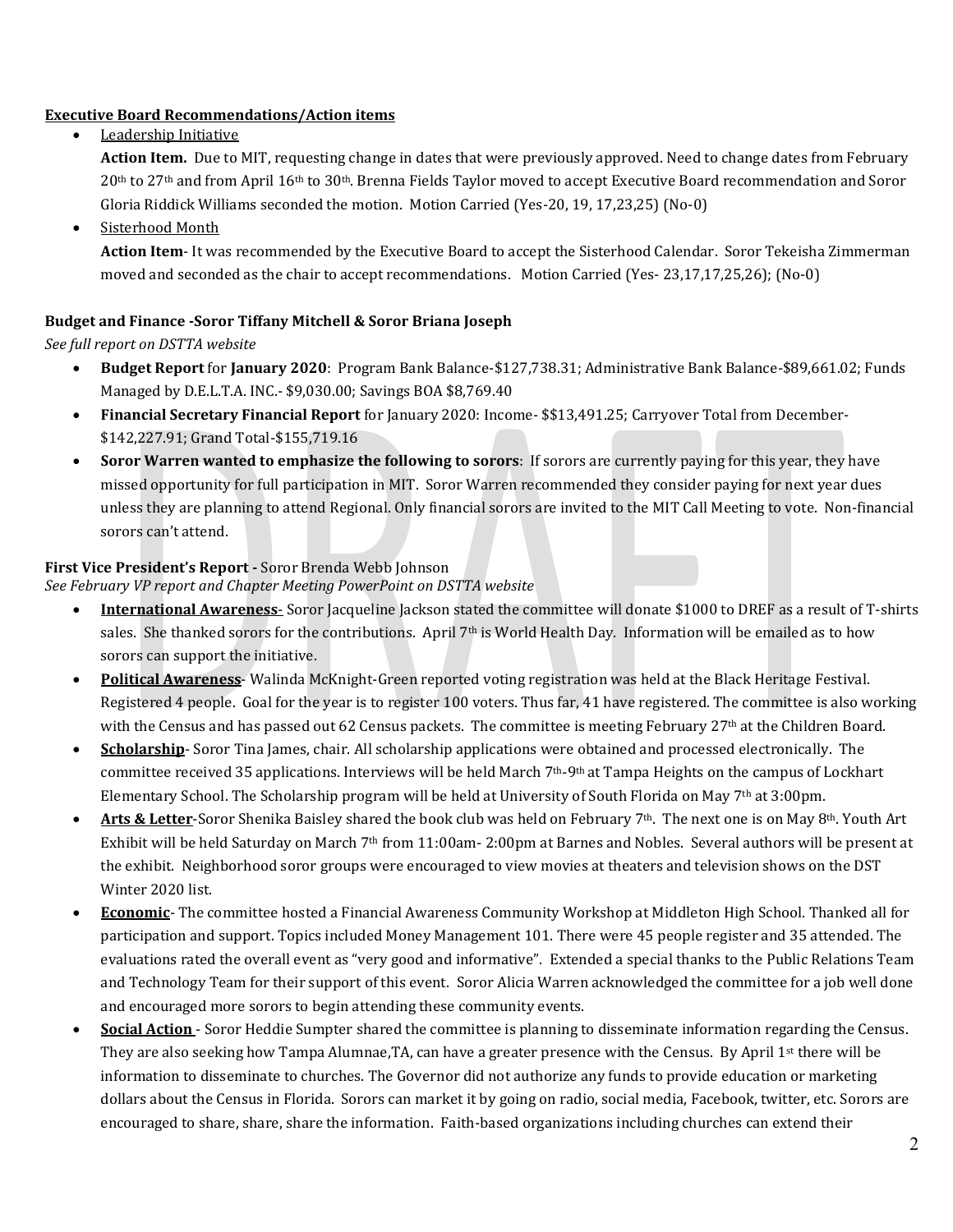## **Executive Board Recommendations/Action items**

• Leadership Initiative

**Action Item.** Due to MIT, requesting change in dates that were previously approved. Need to change dates from February 20th to 27th and from April 16th to 30th. Brenna Fields Taylor moved to accept Executive Board recommendation and Soror Gloria Riddick Williams seconded the motion. Motion Carried (Yes-20, 19, 17,23,25) (No-0)

Sisterhood Month

**Action Item**- It was recommended by the Executive Board to accept the Sisterhood Calendar. Soror Tekeisha Zimmerman moved and seconded as the chair to accept recommendations. Motion Carried (Yes- 23,17,17,25,26); (No-0)

## **Budget and Finance -Soror Tiffany Mitchell & Soror Briana Joseph**

## *See full report on DSTTA website*

- **Budget Report** for **January 2020**: Program Bank Balance-\$127,738.31; Administrative Bank Balance-\$89,661.02; Funds Managed by D.E.L.T.A. INC.- \$9,030.00; Savings BOA \$8,769.40
- **Financial Secretary Financial Report** for January 2020: Income- \$\$13,491.25; Carryover Total from December- \$142,227.91; Grand Total-\$155,719.16
- **Soror Warren wanted to emphasize the following to sorors**: If sorors are currently paying for this year, they have missed opportunity for full participation in MIT. Soror Warren recommended they consider paying for next year dues unless they are planning to attend Regional. Only financial sorors are invited to the MIT Call Meeting to vote. Non-financial sorors can't attend.

## **First Vice President's Report -** Soror Brenda Webb Johnson

*See February VP report and Chapter Meeting PowerPoint on DSTTA website*

- **International Awareness** Soror Jacqueline Jackson stated the committee will donate \$1000 to DREF as a result of T-shirts sales. She thanked sorors for the contributions. April  $7<sup>th</sup>$  is World Health Day. Information will be emailed as to how sorors can support the initiative.
- **Political Awareness** Walinda McKnight-Green reported voting registration was held at the Black Heritage Festival. Registered 4 people. Goal for the year is to register 100 voters. Thus far, 41 have registered. The committee is also working with the Census and has passed out 62 Census packets. The committee is meeting February 27<sup>th</sup> at the Children Board.
- **Scholarship** Soror Tina James, chair. All scholarship applications were obtained and processed electronically. The committee received 35 applications. Interviews will be held March 7th-9th at Tampa Heights on the campus of Lockhart Elementary School. The Scholarship program will be held at University of South Florida on May 7th at 3:00pm.
- Arts & Letter-Soror Shenika Baisley shared the book club was held on February 7<sup>th</sup>. The next one is on May 8<sup>th</sup>. Youth Art Exhibit will be held Saturday on March 7<sup>th</sup> from 11:00am- 2:00pm at Barnes and Nobles. Several authors will be present at the exhibit. Neighborhood soror groups were encouraged to view movies at theaters and television shows on the DST Winter 2020 list.
- **Economic** The committee hosted a Financial Awareness Community Workshop at Middleton High School. Thanked all for participation and support. Topics included Money Management 101. There were 45 people register and 35 attended. The evaluations rated the overall event as "very good and informative". Extended a special thanks to the Public Relations Team and Technology Team for their support of this event. Soror Alicia Warren acknowledged the committee for a job well done and encouraged more sorors to begin attending these community events.
- **Social Action**  Soror Heddie Sumpter shared the committee is planning to disseminate information regarding the Census. They are also seeking how Tampa Alumnae, TA, can have a greater presence with the Census. By April 1st there will be information to disseminate to churches. The Governor did not authorize any funds to provide education or marketing dollars about the Census in Florida. Sorors can market it by going on radio, social media, Facebook, twitter, etc. Sorors are encouraged to share, share, share the information. Faith-based organizations including churches can extend their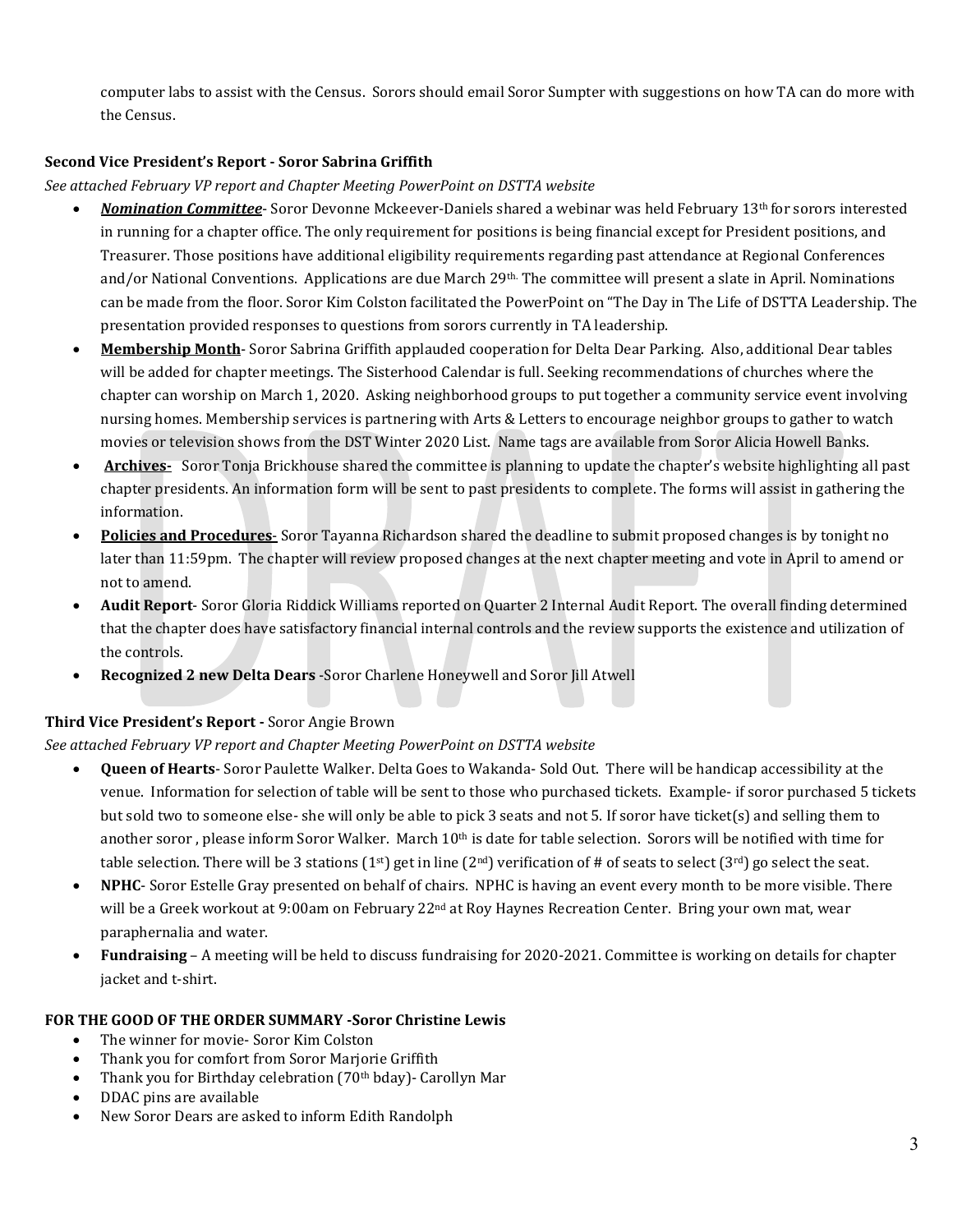computer labs to assist with the Census. Sorors should email Soror Sumpter with suggestions on how TA can do more with the Census.

## **Second Vice President's Report - Soror Sabrina Griffith**

## *See attached February VP report and Chapter Meeting PowerPoint on DSTTA website*

- *Nomination Committee* Soror Devonne Mckeever-Daniels shared a webinar was held February 13th for sorors interested in running for a chapter office. The only requirement for positions is being financial except for President positions, and Treasurer. Those positions have additional eligibility requirements regarding past attendance at Regional Conferences and/or National Conventions. Applications are due March 29<sup>th.</sup> The committee will present a slate in April. Nominations can be made from the floor. Soror Kim Colston facilitated the PowerPoint on "The Day in The Life of DSTTA Leadership. The presentation provided responses to questions from sorors currently in TA leadership.
- **Membership Month** Soror Sabrina Griffith applauded cooperation for Delta Dear Parking. Also, additional Dear tables will be added for chapter meetings. The Sisterhood Calendar is full. Seeking recommendations of churches where the chapter can worship on March 1, 2020. Asking neighborhood groups to put together a community service event involving nursing homes. Membership services is partnering with Arts & Letters to encourage neighbor groups to gather to watch movies or television shows from the DST Winter 2020 List. Name tags are available from Soror Alicia Howell Banks.
- **Archives-** Soror Tonja Brickhouse shared the committee is planning to update the chapter's website highlighting all past chapter presidents. An information form will be sent to past presidents to complete. The forms will assist in gathering the information.
- **Policies and Procedures** Soror Tayanna Richardson shared the deadline to submit proposed changes is by tonight no later than 11:59pm. The chapter will review proposed changes at the next chapter meeting and vote in April to amend or not to amend.
- **Audit Report** Soror Gloria Riddick Williams reported on Quarter 2 Internal Audit Report. The overall finding determined that the chapter does have satisfactory financial internal controls and the review supports the existence and utilization of the controls.
- **Recognized 2 new Delta Dears** -Soror Charlene Honeywell and Soror Jill Atwell

# **Third Vice President's Report -** Soror Angie Brown

# *See attached February VP report and Chapter Meeting PowerPoint on DSTTA website*

- **Queen of Hearts** Soror Paulette Walker. Delta Goes to Wakanda- Sold Out. There will be handicap accessibility at the venue. Information for selection of table will be sent to those who purchased tickets. Example- if soror purchased 5 tickets but sold two to someone else- she will only be able to pick 3 seats and not 5. If soror have ticket(s) and selling them to another soror, please inform Soror Walker. March  $10<sup>th</sup>$  is date for table selection. Sorors will be notified with time for table selection. There will be 3 stations  $(1<sup>st</sup>)$  get in line  $(2<sup>nd</sup>)$  verification of # of seats to select  $(3<sup>rd</sup>)$  go select the seat.
- **NPHC** Soror Estelle Gray presented on behalf of chairs. NPHC is having an event every month to be more visible. There will be a Greek workout at 9:00am on February 22<sup>nd</sup> at Roy Haynes Recreation Center. Bring your own mat, wear paraphernalia and water.
- **Fundraising** A meeting will be held to discuss fundraising for 2020-2021. Committee is working on details for chapter jacket and t-shirt.

## **FOR THE GOOD OF THE ORDER SUMMARY -Soror Christine Lewis**

- The winner for movie- Soror Kim Colston
- Thank you for comfort from Soror Marjorie Griffith
- Thank you for Birthday celebration (70<sup>th</sup> bday) Carollyn Mar
- DDAC pins are available
- New Soror Dears are asked to inform Edith Randolph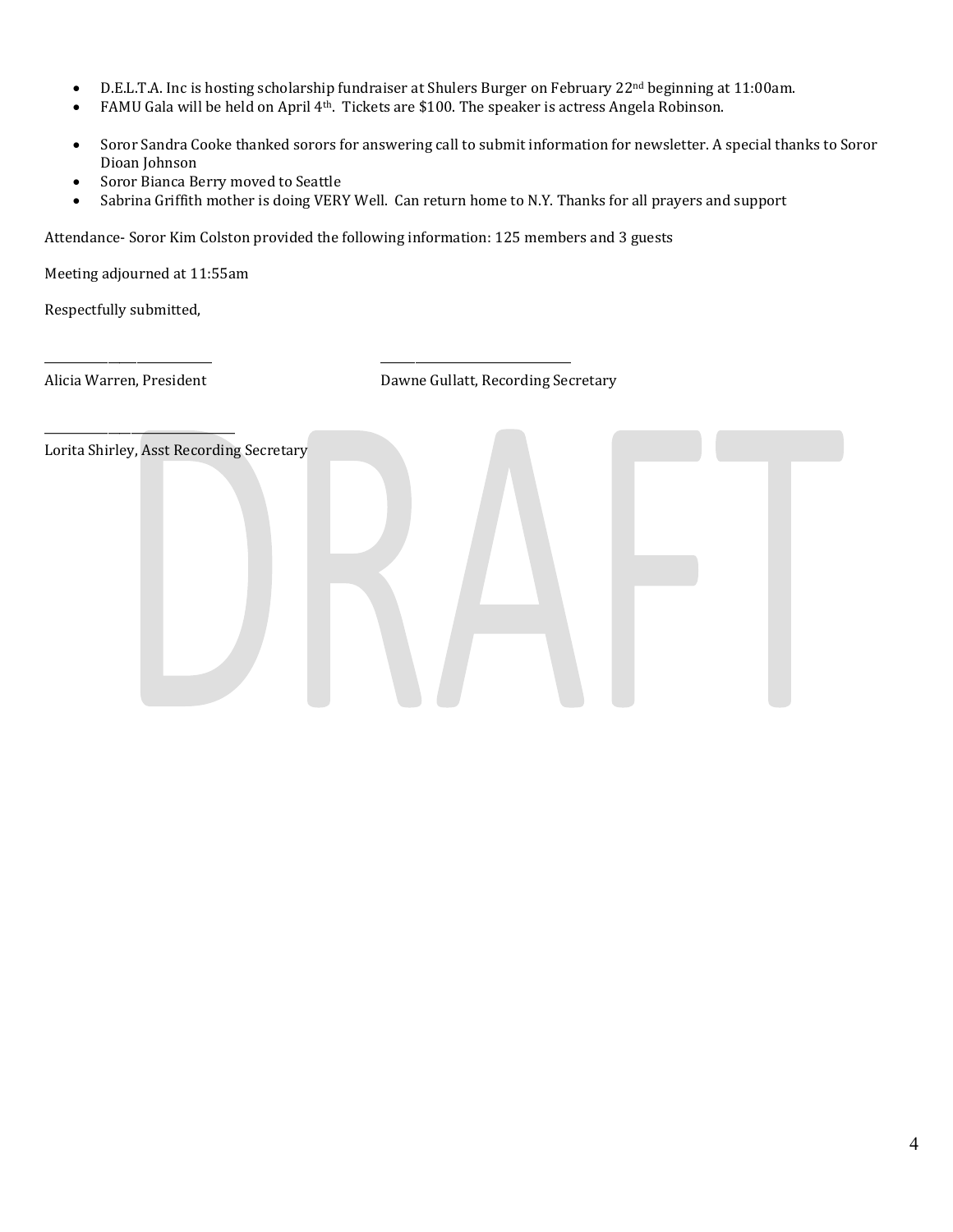- D.E.L.T.A. Inc is hosting scholarship fundraiser at Shulers Burger on February 22nd beginning at 11:00am.
- FAMU Gala will be held on April 4<sup>th</sup>. Tickets are \$100. The speaker is actress Angela Robinson.
- Soror Sandra Cooke thanked sorors for answering call to submit information for newsletter. A special thanks to Soror Dioan Johnson
- Soror Bianca Berry moved to Seattle
- Sabrina Griffith mother is doing VERY Well. Can return home to N.Y. Thanks for all prayers and support

Attendance- Soror Kim Colston provided the following information: 125 members and 3 guests

\_\_\_\_\_\_\_\_\_\_\_\_\_\_\_\_\_\_\_\_\_\_\_\_\_\_\_\_\_ \_\_\_\_\_\_\_\_\_\_\_\_\_\_\_\_\_\_\_\_\_\_\_\_\_\_\_\_\_\_\_\_\_

Meeting adjourned at 11:55am

Respectfully submitted,

\_\_\_\_\_\_\_\_\_\_\_\_\_\_\_\_\_\_\_\_\_\_\_\_\_\_\_\_\_\_\_\_\_

Alicia Warren, President **Dawne Gullatt, Recording Secretary** 

Lorita Shirley, Asst Recording Secretary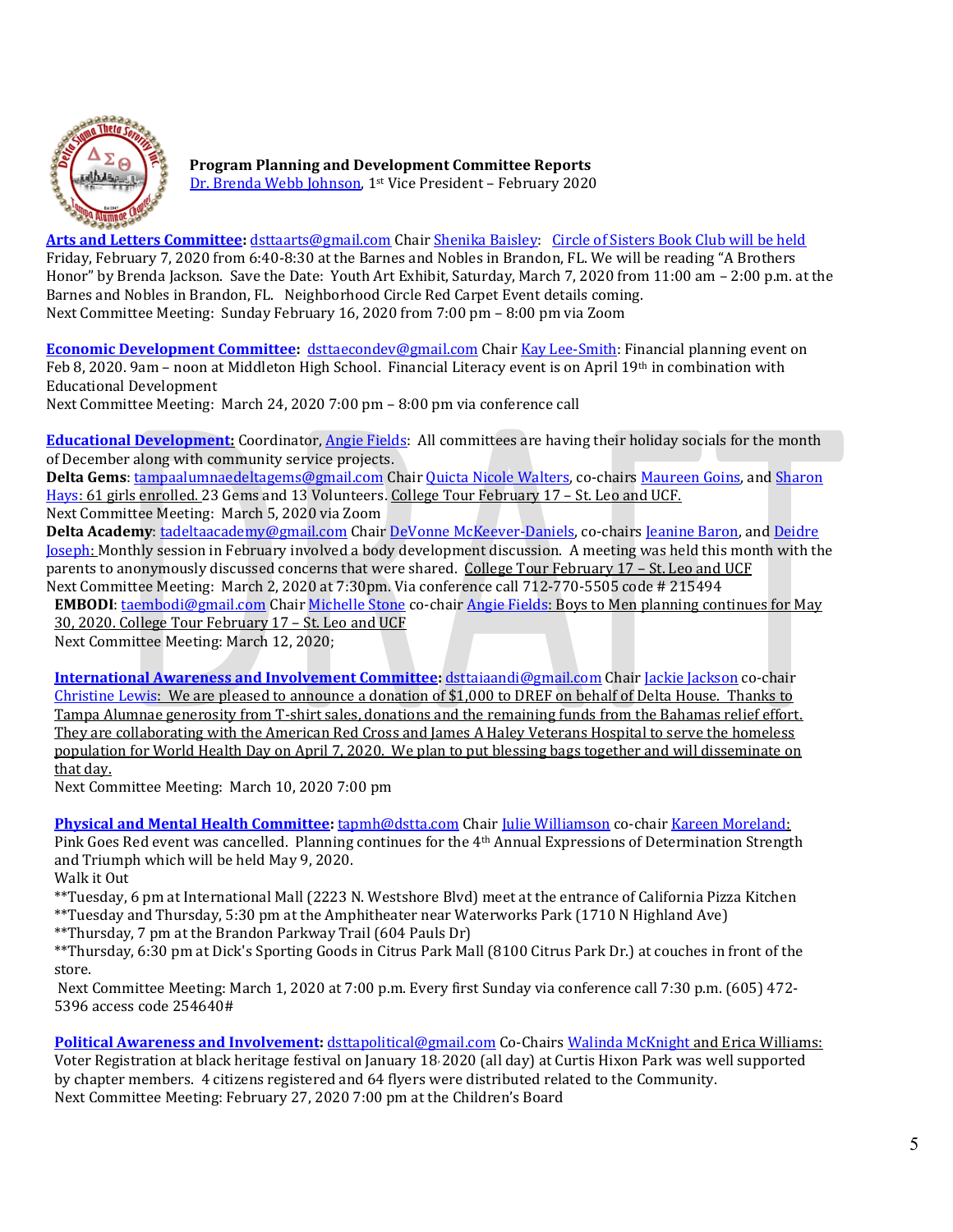

**Program Planning and Development Committee Reports** [Dr. Brenda Webb Johnson,](mailto:firstvp@dstta.com) 1st Vice President – February 2020

**[Arts and Letters Committee:](https://members.dstonline.org/National-Area#arts)** [dsttaarts@gmail.com](mailto:dsttaarts@gmail.com) Chair [Shenika Baisley:](mailto:sbaisley33@gmail.com) [Circle of Sisters Book Club will be held](https://www.eventbrite.com/e/circle-of-friends-book-clubsome-singsome-cry-ntozake-shange-ifa-bayeza-tickets-77630203027) Friday, February 7, 2020 from 6:40-8:30 at the Barnes and Nobles in Brandon, FL. We will be reading "A Brothers Honor" by Brenda Jackson. Save the Date: Youth Art Exhibit, Saturday, March 7, 2020 from 11:00 am – 2:00 p.m. at the Barnes and Nobles in Brandon, FL. Neighborhood Circle Red Carpet Event details coming. Next Committee Meeting: Sunday February 16, 2020 from 7:00 pm – 8:00 pm via Zoom

**[Economic Development Committee:](http://deltasigmatheta.org/economic.html)** [dsttaecondev@gmail.com](mailto:dsttaecondev@gmail.com) Chair [Kay Lee-Smith:](mailto:klee2345@msn.com) Financial planning event on Feb 8, 2020. 9am – noon at Middleton High School. Financial Literacy event is on April 19<sup>th</sup> in combination with Educational Development

Next Committee Meeting: March 24, 2020 7:00 pm – 8:00 pm via conference call

**[Educational Development:](https://www.deltasigmatheta.org/educational.html)** Coordinator[, Angie Fields:](mailto:angie.l.fields@gmail.com) All committees are having their holiday socials for the month of December along with community service projects.

**Delta Gems**: [tampaalumnaedeltagems@gmail.com](mailto:tampaalumnaedeltagems@gmail.com) Chair [Quicta Nicole Walters,](mailto:tampaalumnaedeltagems@gmail.com) co-chairs [Maureen Goins,](mailto:maureengoins@yahoo.com) an[d Sharon](mailto:semple8@hotmail.com)  [Hays:](mailto:semple8@hotmail.com) 61 girls enrolled. 23 Gems and 13 Volunteers. College Tour February 17 – St. Leo and UCF. Next Committee Meeting: March 5, 2020 via Zoom

**Delta Academy**: [tadeltaacademy@gmail.com](mailto:tadeltaacademy@gmail.com) Chair [DeVonne McKeever-Daniels,](mailto:devonnemc9@gmail.com) co-chairs [Jeanine Baron,](mailto:jeaninebaron@yahoo.com) an[d Deidre](mailto:djoseph173@aol.com) [Joseph:](mailto:djoseph173@aol.com) Monthly session in February involved a body development discussion. A meeting was held this month with the parents to anonymously discussed concerns that were shared. College Tour February 17 – St. Leo and UCF Next Committee Meeting: March 2, 2020 at 7:30pm. Via conference call 712-770-5505 code # 215494

**EMBODI**: [taembodi@gmail.com](mailto:taembodi@gmail.com) Chai[r Michelle Stone](mailto:famurat1990@aol.com) co-chai[r Angie Fields:](mailto:angie.l.fields@gmail.com) Boys to Men planning continues for May 30, 2020. College Tour February 17 – St. Leo and UCF

Next Committee Meeting: March 12, 2020;

**[International Awareness and Involvement Committee:](https://www.deltasigmatheta.org/international.html)** [dsttaiaandi@gmail.com](mailto:dsttaiaandi@gmail.com) Chair [Jackie Jackson](mailto:msj626@aol.com) co-chair [Christine Lewis:](mailto:cj2lewis@yahoo.com) We are pleased to announce a donation of \$1,000 to DREF on behalf of Delta House. Thanks to Tampa Alumnae generosity from T-shirt sales, donations and the remaining funds from the Bahamas relief effort. They are collaborating with the American Red Cross and James A Haley Veterans Hospital to serve the homeless population for World Health Day on April 7, 2020. We plan to put blessing bags together and will disseminate on that day.

Next Committee Meeting: March 10, 2020 7:00 pm

**[Physical and Mental Health Committee:](http://deltasigmatheta.org/health.html)** [tapmh@dstta.com](mailto:tapmh@dstta.com) Chair [Julie Williamson](mailto:juliewilliamson2003@icloud.com) co-chair [Kareen Moreland:](mailto:kareenw_nylife@yahoo.com) Pink Goes Red event was cancelled. Planning continues for the 4th Annual Expressions of Determination Strength and Triumph which will be held May 9, 2020. Walk it Out

\*\*Tuesday, 6 pm at International Mall (2223 N. Westshore Blvd) meet at the entrance of California Pizza Kitchen \*\*Tuesday and Thursday, 5:30 pm at the Amphitheater near Waterworks Park (1710 N Highland Ave)

\*\*Thursday, 7 pm at the Brandon Parkway Trail (604 Pauls Dr)

\*\*Thursday, 6:30 pm at Dick's Sporting Goods in Citrus Park Mall (8100 Citrus Park Dr.) at couches in front of the store.

Next Committee Meeting: March 1, 2020 at 7:00 p.m. Every first Sunday via conference call 7:30 p.m. (605) 472- 5396 access code 254640#

**[Political Awareness and Involvement:](mailto:Political%20Awareness%20and%20Involvement)** [dsttapolitical@gmail.com](mailto:dsttapolitical@gmail.com) Co-Chairs [Walinda McKnight](mailto:walindamckgr@msn.com) and Erica Williams: Voter Registration at black heritage festival on January 18, 2020 (all day) at Curtis Hixon Park was well supported by chapter members. 4 citizens registered and 64 flyers were distributed related to the Community.

Next Committee Meeting: February 27, 2020 7:00 pm at the Children's Board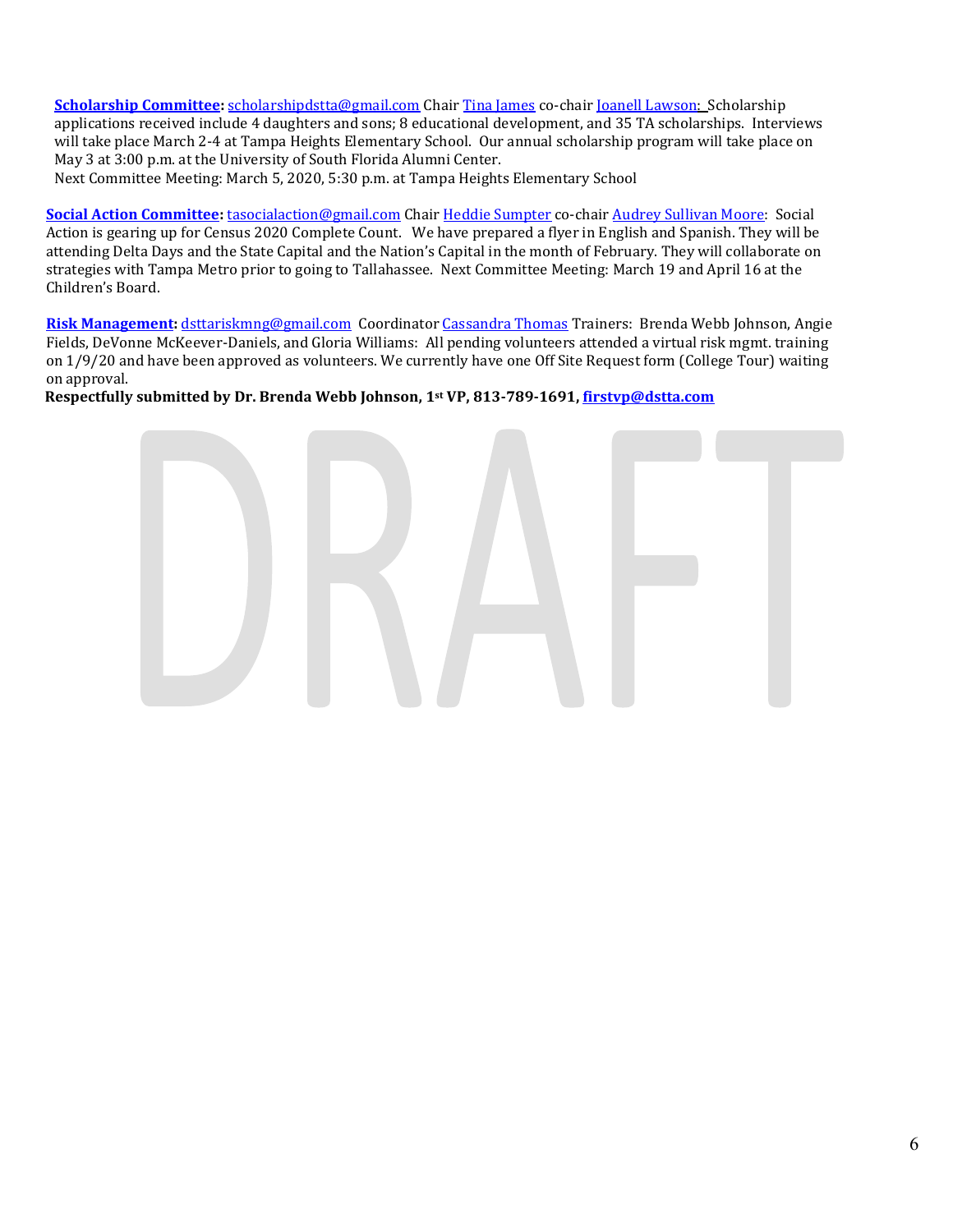**[Scholarship Committee:](https://members.dstonline.org/National-Area#scholar)** [scholarshipdstta@gmail.com](mailto:scholarshipdstta@gmail.com) Chair [Tina James](mailto:tee_jay10@hotmail.com) co-chair [Joanell Lawson:](mailto:jazdst10@msn.com) Scholarship applications received include 4 daughters and sons; 8 educational development, and 35 TA scholarships. Interviews will take place March 2-4 at Tampa Heights Elementary School. Our annual scholarship program will take place on May 3 at 3:00 p.m. at the University of South Florida Alumni Center.

Next Committee Meeting: March 5, 2020, 5:30 p.m. at Tampa Heights Elementary School

**[Social Action Committee:](hhttps://members.dstonline.org/National-Area#social)** [tasocialaction@gmail.com](mailto:tasocialaction@gmail.com) Chair [Heddie Sumpter](mailto:hmshollywd1@gmail.com) co-chair [Audrey Sullivan Moore:](mailto:mammamooreasm@gmail.com) Social Action is gearing up for Census 2020 Complete Count. We have prepared a flyer in English and Spanish. They will be attending Delta Days and the State Capital and the Nation's Capital in the month of February. They will collaborate on strategies with Tampa Metro prior to going to Tallahassee. Next Committee Meeting: March 19 and April 16 at the Children's Board.

**[Risk Management:](https://members.dstonline.org/getmedia/b3270cc4-04eb-4af4-8717-e876aa303f2e/Risk-Management-Manual-September-2017_Amended.pdf)** [dsttariskmng@gmail.com](mailto:dsttariskmng@gmail.com) Coordinato[r Cassandra Thomas](mailto:bbzephyr01@aol.com) Trainers: Brenda Webb Johnson, Angie Fields, DeVonne McKeever-Daniels, and Gloria Williams: All pending volunteers attended a virtual risk mgmt. training on 1/9/20 and have been approved as volunteers. We currently have one Off Site Request form (College Tour) waiting on approval.

**Respectfully submitted by Dr. Brenda Webb Johnson, 1st VP, 813-789-1691[, firstvp@dstta.com](mailto:firstvp@dstta.com)**

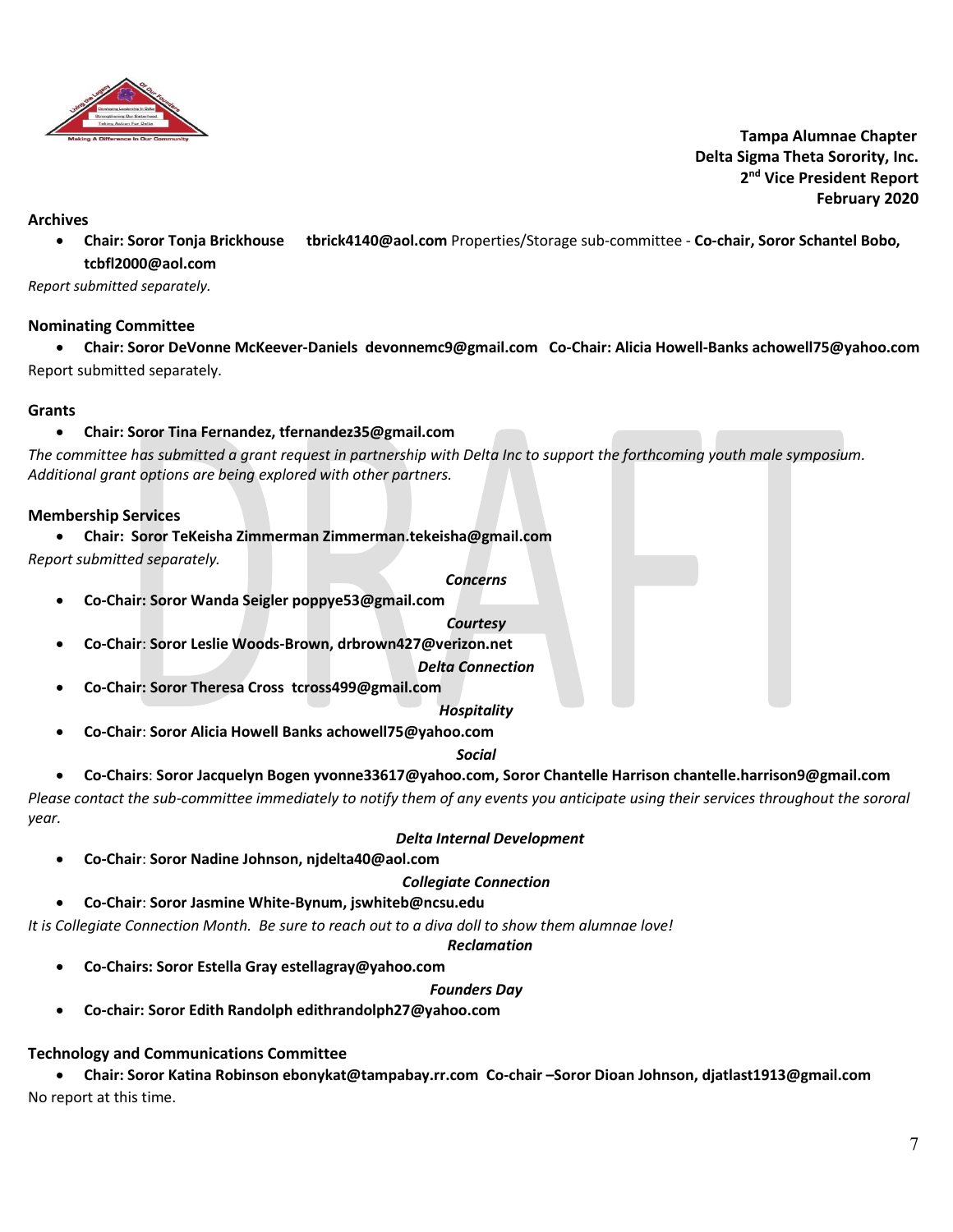

 **Tampa Alumnae Chapter Delta Sigma Theta Sorority, Inc. 2 nd Vice President Report February 2020**

#### **Archives**

• **Chair: Soror Tonja Brickhouse tbrick4140@aol.com** Properties/Storage sub-committee - **Co-chair, Soror Schantel Bobo, tcbfl2000@aol.com**

*Report submitted separately.*

## **Nominating Committee**

• **Chair: Soror DeVonne McKeever-Daniels devonnemc9@gmail.com Co-Chair: Alicia Howell-Banks achowell75@yahoo.com** Report submitted separately.

#### **Grants**

## • **Chair: Soror Tina Fernandez[, tfernandez35@gmail.com](mailto:tfernandez35@gmail.com)**

*The committee has submitted a grant request in partnership with Delta Inc to support the forthcoming youth male symposium. Additional grant options are being explored with other partners.* 

## **Membership Services**

• **Chair: Soror TeKeisha Zimmerman Zimmerman.tekeisha@gmail.com**

*Report submitted separately.*

*Concerns*

• **Co-Chair: Soror Wanda Seigler poppye53@gmail.com**

*Courtesy*

• **Co-Chair**: **Soror Leslie Woods-Brown, drbrown427@verizon.net**

*Delta Connection*

• **Co-Chair: Soror Theresa Cross tcross499@gmail.com**

*Hospitality*

• **Co-Chair**: **Soror Alicia Howell Banks achowell75@yahoo.com**

*Social*

• **Co-Chairs**: **Soror Jacquelyn Bogen yvonne33617@yahoo.com, Soror Chantelle Harrison chantelle.harrison9@gmail.com**

*Please contact the sub-committee immediately to notify them of any events you anticipate using their services throughout the sororal year.* 

## *Delta Internal Development*

• **Co-Chair**: **Soror Nadine Johnson, njdelta40@aol.com**

## *Collegiate Connection*

• **Co-Chair**: **Soror Jasmine White-Bynum, jswhiteb@ncsu.edu**

*It is Collegiate Connection Month. Be sure to reach out to a diva doll to show them alumnae love!*

# *Reclamation*

• **Co-Chairs: Soror Estella Gray estellagray@yahoo.com** 

# *Founders Day*

• **Co-chair: Soror Edith Randolph edithrandolph27@yahoo.com**

# **Technology and Communications Committee**

• **Chair: Soror Katina Robinson ebonykat@tampabay.rr.com Co-chair –Soror Dioan Johnson, djatlast1913@gmail.com** No report at this time.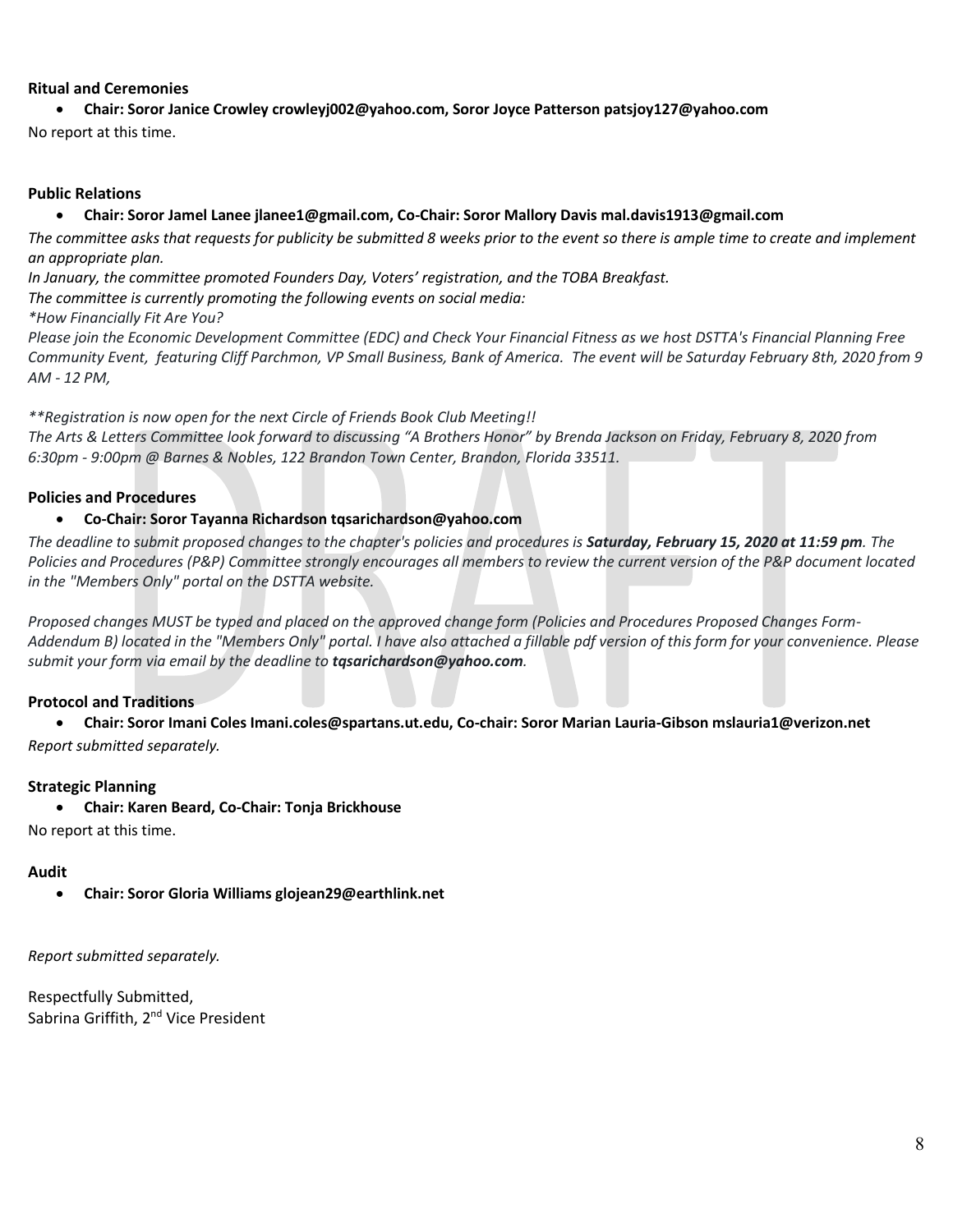## **Ritual and Ceremonies**

• **Chair: Soror Janice Crowley crowleyj002@yahoo.com, Soror Joyce Patterson patsjoy127@yahoo.com**

No report at this time.

#### **Public Relations**

#### • **Chair: Soror Jamel Lanee jlanee1@gmail.com, Co-Chair: Soror Mallory Davis mal.davis1913@gmail.com**

*The committee asks that requests for publicity be submitted 8 weeks prior to the event so there is ample time to create and implement an appropriate plan.* 

*In January, the committee promoted Founders Day, Voters' registration, and the TOBA Breakfast.*

*The committee is currently promoting the following events on social media:*

*\*How Financially Fit Are You?*

*Please join the Economic Development Committee (EDC) and Check Your Financial Fitness as we host DSTTA's Financial Planning Free Community Event, featuring Cliff Parchmon, VP Small Business, Bank of America. The event will be Saturday February 8th, 2020 from 9 AM - 12 PM,*

*\*\*Registration is now open for the next Circle of Friends Book Club Meeting!!*

*The Arts & Letters Committee look forward to discussing "A Brothers Honor" by Brenda Jackson on Friday, February 8, 2020 from 6:30pm - 9:00pm @ Barnes & Nobles, 122 Brandon Town Center, Brandon, Florida 33511.*

## **Policies and Procedures**

#### • **Co-Chair: Soror Tayanna Richardson tqsarichardson@yahoo.com**

*The deadline to submit proposed changes to the chapter's policies and procedures is Saturday, February 15, 2020 at 11:59 pm. The Policies and Procedures (P&P) Committee strongly encourages all members to review the current version of the P&P document located in the "Members Only" portal on the DSTTA website.*

*Proposed changes MUST be typed and placed on the approved change form (Policies and Procedures Proposed Changes Form-Addendum B) located in the "Members Only" portal. I have also attached a fillable pdf version of this form for your convenience. Please submit your form via email by the deadline to tqsarichardson@yahoo.com.*

## **Protocol and Traditions**

• **Chair: Soror Imani Coles Imani.coles@spartans.ut.edu, Co-chair: Soror Marian Lauria-Gibson mslauria1@verizon.net** *Report submitted separately.*

#### **Strategic Planning**

• **Chair: Karen Beard, Co-Chair: Tonja Brickhouse**

No report at this time.

#### **Audit**

• **Chair: Soror Gloria Williams glojean29@earthlink.net**

*Report submitted separately.*

Respectfully Submitted, Sabrina Griffith, 2<sup>nd</sup> Vice President